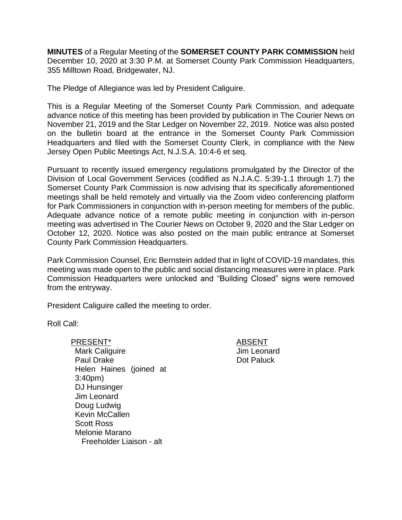**MINUTES** of a Regular Meeting of the **SOMERSET COUNTY PARK COMMISSION** held December 10, 2020 at 3:30 P.M. at Somerset County Park Commission Headquarters, 355 Milltown Road, Bridgewater, NJ.

The Pledge of Allegiance was led by President Caliguire.

This is a Regular Meeting of the Somerset County Park Commission, and adequate advance notice of this meeting has been provided by publication in The Courier News on November 21, 2019 and the Star Ledger on November 22, 2019. Notice was also posted on the bulletin board at the entrance in the Somerset County Park Commission Headquarters and filed with the Somerset County Clerk, in compliance with the New Jersey Open Public Meetings Act, N.J.S.A. 10:4-6 et seq.

Pursuant to recently issued emergency regulations promulgated by the Director of the Division of Local Government Services (codified as N.J.A.C. 5:39-1.1 through 1.7) the Somerset County Park Commission is now advising that its specifically aforementioned meetings shall be held remotely and virtually via the Zoom video conferencing platform for Park Commissioners in conjunction with in-person meeting for members of the public. Adequate advance notice of a remote public meeting in conjunction with in-person meeting was advertised in The Courier News on October 9, 2020 and the Star Ledger on October 12, 2020. Notice was also posted on the main public entrance at Somerset County Park Commission Headquarters.

Park Commission Counsel, Eric Bernstein added that in light of COVID-19 mandates, this meeting was made open to the public and social distancing measures were in place. Park Commission Headquarters were unlocked and "Building Closed" signs were removed from the entryway.

President Caliguire called the meeting to order.

Roll Call:

PRESENT\* ABSENT Mark Caliguire Paul Drake Helen Haines (joined at 3:40pm) DJ Hunsinger Jim Leonard Doug Ludwig Kevin McCallen Scott Ross Melonie Marano Freeholder Liaison - alt

Jim Leonard Dot Paluck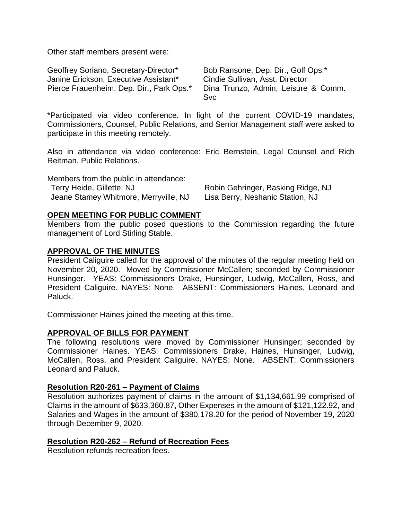Other staff members present were:

| Geoffrey Soriano, Secretary-Director*    | Bob Ransone, Dep. Dir., Golf Ops.*  |
|------------------------------------------|-------------------------------------|
| Janine Erickson, Executive Assistant*    | Cindie Sullivan, Asst. Director     |
| Pierce Frauenheim, Dep. Dir., Park Ops.* | Dina Trunzo, Admin, Leisure & Comm. |
|                                          | Svc.                                |

\*Participated via video conference. In light of the current COVID-19 mandates, Commissioners, Counsel, Public Relations, and Senior Management staff were asked to participate in this meeting remotely.

Also in attendance via video conference: Eric Bernstein, Legal Counsel and Rich Reitman, Public Relations.

| Members from the public in attendance: |                                    |
|----------------------------------------|------------------------------------|
| Terry Heide, Gillette, NJ              | Robin Gehringer, Basking Ridge, NJ |
| Jeane Stamey Whitmore, Merryville, NJ  | Lisa Berry, Neshanic Station, NJ   |

#### **OPEN MEETING FOR PUBLIC COMMENT**

Members from the public posed questions to the Commission regarding the future management of Lord Stirling Stable.

#### **APPROVAL OF THE MINUTES**

President Caliguire called for the approval of the minutes of the regular meeting held on November 20, 2020. Moved by Commissioner McCallen; seconded by Commissioner Hunsinger. YEAS: Commissioners Drake, Hunsinger, Ludwig, McCallen, Ross, and President Caliguire. NAYES: None. ABSENT: Commissioners Haines, Leonard and Paluck.

Commissioner Haines joined the meeting at this time.

#### **APPROVAL OF BILLS FOR PAYMENT**

The following resolutions were moved by Commissioner Hunsinger; seconded by Commissioner Haines. YEAS: Commissioners Drake, Haines, Hunsinger, Ludwig, McCallen, Ross, and President Caliguire. NAYES: None. ABSENT: Commissioners Leonard and Paluck.

#### **Resolution R20-261 – Payment of Claims**

Resolution authorizes payment of claims in the amount of \$1,134,661.99 comprised of Claims in the amount of \$633,360.87, Other Expenses in the amount of \$121,122.92, and Salaries and Wages in the amount of \$380,178.20 for the period of November 19, 2020 through December 9, 2020.

#### **Resolution R20-262 – Refund of Recreation Fees**

Resolution refunds recreation fees.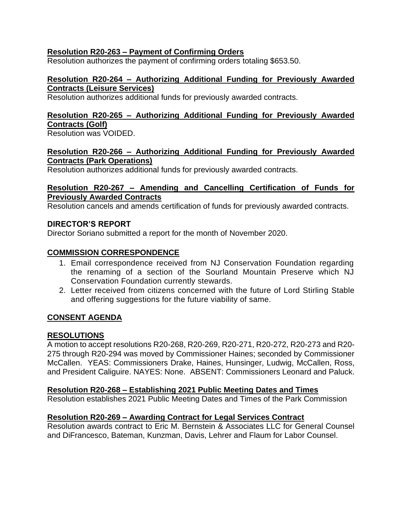# **Resolution R20-263 – Payment of Confirming Orders**

Resolution authorizes the payment of confirming orders totaling \$653.50.

#### **Resolution R20-264 – Authorizing Additional Funding for Previously Awarded Contracts (Leisure Services)**

Resolution authorizes additional funds for previously awarded contracts.

# **Resolution R20-265 – Authorizing Additional Funding for Previously Awarded Contracts (Golf)**

Resolution was VOIDED.

# **Resolution R20-266 – Authorizing Additional Funding for Previously Awarded Contracts (Park Operations)**

Resolution authorizes additional funds for previously awarded contracts.

#### **Resolution R20-267 – Amending and Cancelling Certification of Funds for Previously Awarded Contracts**

Resolution cancels and amends certification of funds for previously awarded contracts.

# **DIRECTOR'S REPORT**

Director Soriano submitted a report for the month of November 2020.

# **COMMISSION CORRESPONDENCE**

- 1. Email correspondence received from NJ Conservation Foundation regarding the renaming of a section of the Sourland Mountain Preserve which NJ Conservation Foundation currently stewards.
- 2. Letter received from citizens concerned with the future of Lord Stirling Stable and offering suggestions for the future viability of same.

# **CONSENT AGENDA**

# **RESOLUTIONS**

A motion to accept resolutions R20-268, R20-269, R20-271, R20-272, R20-273 and R20- 275 through R20-294 was moved by Commissioner Haines; seconded by Commissioner McCallen. YEAS: Commissioners Drake, Haines, Hunsinger, Ludwig, McCallen, Ross, and President Caliguire. NAYES: None. ABSENT: Commissioners Leonard and Paluck.

# **Resolution R20-268 – Establishing 2021 Public Meeting Dates and Times**

Resolution establishes 2021 Public Meeting Dates and Times of the Park Commission

# **Resolution R20-269 – Awarding Contract for Legal Services Contract**

Resolution awards contract to Eric M. Bernstein & Associates LLC for General Counsel and DiFrancesco, Bateman, Kunzman, Davis, Lehrer and Flaum for Labor Counsel.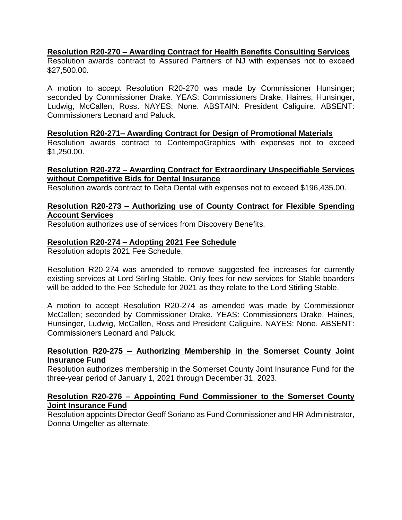# **Resolution R20-270 – Awarding Contract for Health Benefits Consulting Services**

Resolution awards contract to Assured Partners of NJ with expenses not to exceed \$27,500.00.

A motion to accept Resolution R20-270 was made by Commissioner Hunsinger; seconded by Commissioner Drake. YEAS: Commissioners Drake, Haines, Hunsinger, Ludwig, McCallen, Ross. NAYES: None. ABSTAIN: President Caliguire. ABSENT: Commissioners Leonard and Paluck.

#### **Resolution R20-271– Awarding Contract for Design of Promotional Materials**

Resolution awards contract to ContempoGraphics with expenses not to exceed \$1,250.00.

# **Resolution R20-272 – Awarding Contract for Extraordinary Unspecifiable Services without Competitive Bids for Dental Insurance**

Resolution awards contract to Delta Dental with expenses not to exceed \$196,435.00.

# **Resolution R20-273 – Authorizing use of County Contract for Flexible Spending Account Services**

Resolution authorizes use of services from Discovery Benefits.

#### **Resolution R20-274 – Adopting 2021 Fee Schedule**

Resolution adopts 2021 Fee Schedule.

Resolution R20-274 was amended to remove suggested fee increases for currently existing services at Lord Stirling Stable. Only fees for new services for Stable boarders will be added to the Fee Schedule for 2021 as they relate to the Lord Stirling Stable.

A motion to accept Resolution R20-274 as amended was made by Commissioner McCallen; seconded by Commissioner Drake. YEAS: Commissioners Drake, Haines, Hunsinger, Ludwig, McCallen, Ross and President Caliguire. NAYES: None. ABSENT: Commissioners Leonard and Paluck.

#### **Resolution R20-275 – Authorizing Membership in the Somerset County Joint Insurance Fund**

Resolution authorizes membership in the Somerset County Joint Insurance Fund for the three-year period of January 1, 2021 through December 31, 2023.

# **Resolution R20-276 – Appointing Fund Commissioner to the Somerset County Joint Insurance Fund**

Resolution appoints Director Geoff Soriano as Fund Commissioner and HR Administrator, Donna Umgelter as alternate.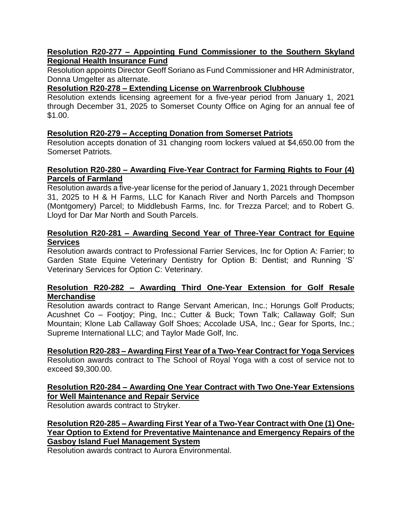# **Resolution R20-277 – Appointing Fund Commissioner to the Southern Skyland Regional Health Insurance Fund**

Resolution appoints Director Geoff Soriano as Fund Commissioner and HR Administrator, Donna Umgelter as alternate.

# **Resolution R20-278 – Extending License on Warrenbrook Clubhouse**

Resolution extends licensing agreement for a five-year period from January 1, 2021 through December 31, 2025 to Somerset County Office on Aging for an annual fee of \$1.00.

# **Resolution R20-279 – Accepting Donation from Somerset Patriots**

Resolution accepts donation of 31 changing room lockers valued at \$4,650.00 from the Somerset Patriots.

# **Resolution R20-280 – Awarding Five-Year Contract for Farming Rights to Four (4) Parcels of Farmland**

Resolution awards a five-year license for the period of January 1, 2021 through December 31, 2025 to H & H Farms, LLC for Kanach River and North Parcels and Thompson (Montgomery) Parcel; to Middlebush Farms, Inc. for Trezza Parcel; and to Robert G. Lloyd for Dar Mar North and South Parcels.

# **Resolution R20-281 – Awarding Second Year of Three-Year Contract for Equine Services**

Resolution awards contract to Professional Farrier Services, Inc for Option A: Farrier; to Garden State Equine Veterinary Dentistry for Option B: Dentist; and Running 'S' Veterinary Services for Option C: Veterinary.

#### **Resolution R20-282 – Awarding Third One-Year Extension for Golf Resale Merchandise**

Resolution awards contract to Range Servant American, Inc.; Horungs Golf Products; Acushnet Co – Footjoy; Ping, Inc.; Cutter & Buck; Town Talk; Callaway Golf; Sun Mountain; Klone Lab Callaway Golf Shoes; Accolade USA, Inc.; Gear for Sports, Inc.; Supreme International LLC; and Taylor Made Golf, Inc.

# **Resolution R20-283 – Awarding First Year of a Two-Year Contract for Yoga Services**

Resolution awards contract to The School of Royal Yoga with a cost of service not to exceed \$9,300.00.

# **Resolution R20-284 – Awarding One Year Contract with Two One-Year Extensions for Well Maintenance and Repair Service**

Resolution awards contract to Stryker.

**Resolution R20-285 – Awarding First Year of a Two-Year Contract with One (1) One-Year Option to Extend for Preventative Maintenance and Emergency Repairs of the Gasboy Island Fuel Management System**

Resolution awards contract to Aurora Environmental.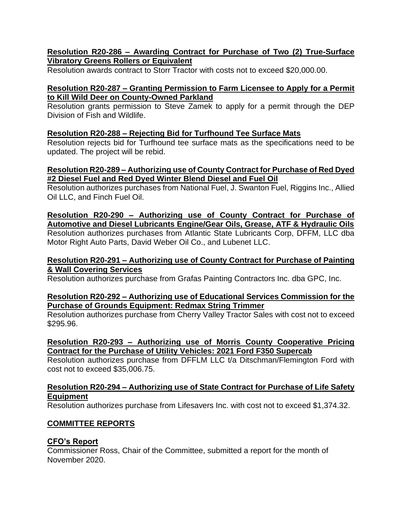# **Resolution R20-286 – Awarding Contract for Purchase of Two (2) True-Surface Vibratory Greens Rollers or Equivalent**

Resolution awards contract to Storr Tractor with costs not to exceed \$20,000.00.

# **Resolution R20-287 – Granting Permission to Farm Licensee to Apply for a Permit to Kill Wild Deer on County-Owned Parkland**

Resolution grants permission to Steve Zamek to apply for a permit through the DEP Division of Fish and Wildlife.

# **Resolution R20-288 – Rejecting Bid for Turfhound Tee Surface Mats**

Resolution rejects bid for Turfhound tee surface mats as the specifications need to be updated. The project will be rebid.

# **Resolution R20-289 – Authorizing use of County Contract for Purchase of Red Dyed #2 Diesel Fuel and Red Dyed Winter Blend Diesel and Fuel Oil**

Resolution authorizes purchases from National Fuel, J. Swanton Fuel, Riggins Inc., Allied Oil LLC, and Finch Fuel Oil.

# **Resolution R20-290 – Authorizing use of County Contract for Purchase of Automotive and Diesel Lubricants Engine/Gear Oils, Grease, ATF & Hydraulic Oils** Resolution authorizes purchases from Atlantic State Lubricants Corp, DFFM, LLC dba Motor Right Auto Parts, David Weber Oil Co., and Lubenet LLC.

# **Resolution R20-291 – Authorizing use of County Contract for Purchase of Painting & Wall Covering Services**

Resolution authorizes purchase from Grafas Painting Contractors Inc. dba GPC, Inc.

# **Resolution R20-292 – Authorizing use of Educational Services Commission for the Purchase of Grounds Equipment: Redmax String Trimmer**

Resolution authorizes purchase from Cherry Valley Tractor Sales with cost not to exceed \$295.96.

# **Resolution R20-293 – Authorizing use of Morris County Cooperative Pricing Contract for the Purchase of Utility Vehicles: 2021 Ford F350 Supercab**

Resolution authorizes purchase from DFFLM LLC t/a Ditschman/Flemington Ford with cost not to exceed \$35,006.75.

# **Resolution R20-294 – Authorizing use of State Contract for Purchase of Life Safety Equipment**

Resolution authorizes purchase from Lifesavers Inc. with cost not to exceed \$1,374.32.

# **COMMITTEE REPORTS**

# **CFO's Report**

Commissioner Ross, Chair of the Committee, submitted a report for the month of November 2020.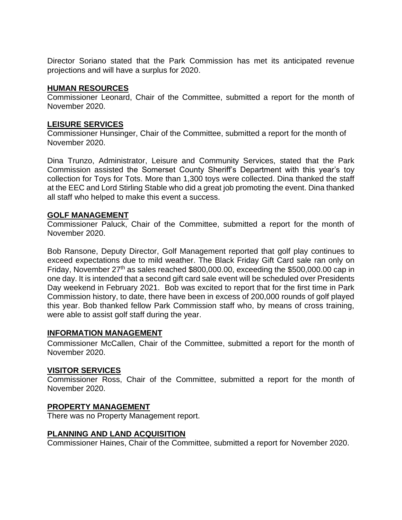Director Soriano stated that the Park Commission has met its anticipated revenue projections and will have a surplus for 2020.

# **HUMAN RESOURCES**

Commissioner Leonard, Chair of the Committee, submitted a report for the month of November 2020.

# **LEISURE SERVICES**

Commissioner Hunsinger, Chair of the Committee, submitted a report for the month of November 2020.

Dina Trunzo, Administrator, Leisure and Community Services, stated that the Park Commission assisted the Somerset County Sheriff's Department with this year's toy collection for Toys for Tots. More than 1,300 toys were collected. Dina thanked the staff at the EEC and Lord Stirling Stable who did a great job promoting the event. Dina thanked all staff who helped to make this event a success.

# **GOLF MANAGEMENT**

Commissioner Paluck, Chair of the Committee, submitted a report for the month of November 2020.

Bob Ransone, Deputy Director, Golf Management reported that golf play continues to exceed expectations due to mild weather. The Black Friday Gift Card sale ran only on Friday, November 27<sup>th</sup> as sales reached \$800,000.00, exceeding the \$500,000.00 cap in one day. It is intended that a second gift card sale event will be scheduled over Presidents Day weekend in February 2021. Bob was excited to report that for the first time in Park Commission history, to date, there have been in excess of 200,000 rounds of golf played this year. Bob thanked fellow Park Commission staff who, by means of cross training, were able to assist golf staff during the year.

# **INFORMATION MANAGEMENT**

Commissioner McCallen, Chair of the Committee, submitted a report for the month of November 2020.

# **VISITOR SERVICES**

Commissioner Ross, Chair of the Committee, submitted a report for the month of November 2020.

# **PROPERTY MANAGEMENT**

There was no Property Management report.

# **PLANNING AND LAND ACQUISITION**

Commissioner Haines, Chair of the Committee, submitted a report for November 2020.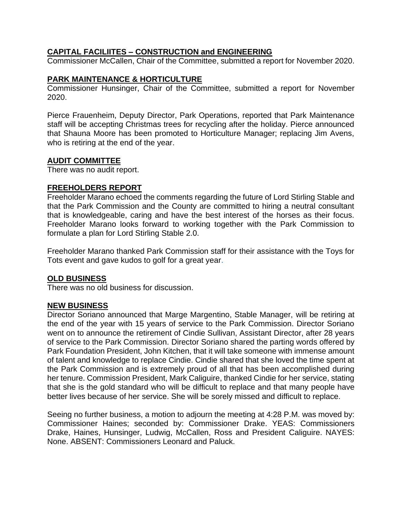# **CAPITAL FACILIITES – CONSTRUCTION and ENGINEERING**

Commissioner McCallen, Chair of the Committee, submitted a report for November 2020.

# **PARK MAINTENANCE & HORTICULTURE**

Commissioner Hunsinger, Chair of the Committee, submitted a report for November 2020.

Pierce Frauenheim, Deputy Director, Park Operations, reported that Park Maintenance staff will be accepting Christmas trees for recycling after the holiday. Pierce announced that Shauna Moore has been promoted to Horticulture Manager; replacing Jim Avens, who is retiring at the end of the year.

#### **AUDIT COMMITTEE**

There was no audit report.

#### **FREEHOLDERS REPORT**

Freeholder Marano echoed the comments regarding the future of Lord Stirling Stable and that the Park Commission and the County are committed to hiring a neutral consultant that is knowledgeable, caring and have the best interest of the horses as their focus. Freeholder Marano looks forward to working together with the Park Commission to formulate a plan for Lord Stirling Stable 2.0.

Freeholder Marano thanked Park Commission staff for their assistance with the Toys for Tots event and gave kudos to golf for a great year.

# **OLD BUSINESS**

There was no old business for discussion.

# **NEW BUSINESS**

Director Soriano announced that Marge Margentino, Stable Manager, will be retiring at the end of the year with 15 years of service to the Park Commission. Director Soriano went on to announce the retirement of Cindie Sullivan, Assistant Director, after 28 years of service to the Park Commission. Director Soriano shared the parting words offered by Park Foundation President, John Kitchen, that it will take someone with immense amount of talent and knowledge to replace Cindie. Cindie shared that she loved the time spent at the Park Commission and is extremely proud of all that has been accomplished during her tenure. Commission President, Mark Caliguire, thanked Cindie for her service, stating that she is the gold standard who will be difficult to replace and that many people have better lives because of her service. She will be sorely missed and difficult to replace.

Seeing no further business, a motion to adjourn the meeting at 4:28 P.M. was moved by: Commissioner Haines; seconded by: Commissioner Drake. YEAS: Commissioners Drake, Haines, Hunsinger, Ludwig, McCallen, Ross and President Caliguire. NAYES: None. ABSENT: Commissioners Leonard and Paluck.